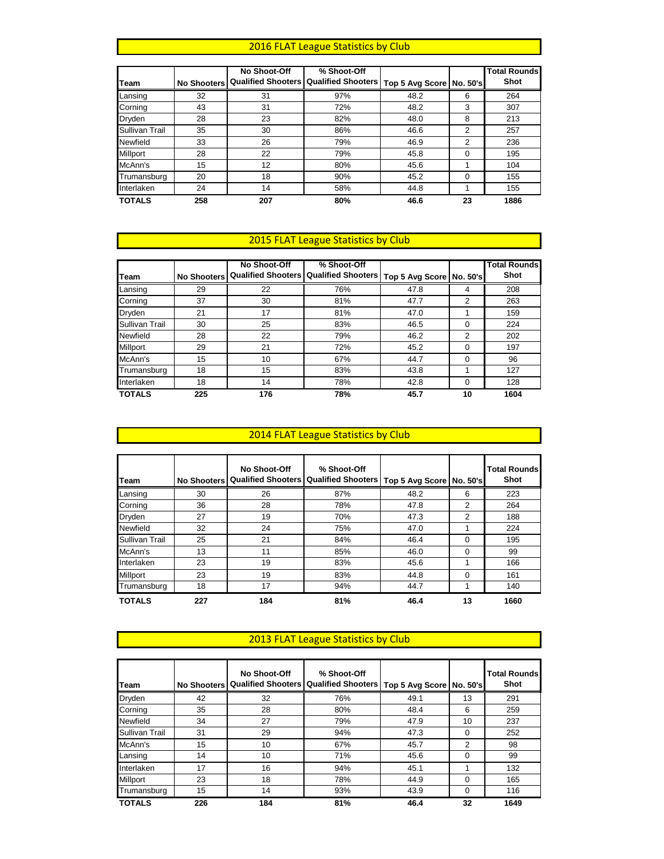#### 2016 FLAT League Statistics by Club

|                       |                    | No Shoot-Off | % Shoot-Off                                      |                            |                | <b>Total Rounds</b> |
|-----------------------|--------------------|--------------|--------------------------------------------------|----------------------------|----------------|---------------------|
| Team                  | <b>No Shooters</b> |              | <b>Qualified Shooters   Qualified Shooters  </b> | Top 5 Avg Score   No. 50's |                | Shot                |
| Lansing               | 32                 | 31           | 97%                                              | 48.2                       | 6              | 264                 |
| Corning               | 43                 | 31           | 72%                                              | 48.2                       | 3              | 307                 |
| Dryden                | 28                 | 23           | 82%                                              | 48.0                       | 8              | 213                 |
| <b>Sullivan Trail</b> | 35                 | 30           | 86%                                              | 46.6                       | 2              | 257                 |
| Newfield              | 33                 | 26           | 79%                                              | 46.9                       | $\overline{2}$ | 236                 |
| <b>Millport</b>       | 28                 | 22           | 79%                                              | 45.8                       | $\Omega$       | 195                 |
| McAnn's               | 15                 | 12           | 80%                                              | 45.6                       |                | 104                 |
| Trumansburg           | 20                 | 18           | 90%                                              | 45.2                       | $\Omega$       | 155                 |
| Interlaken            | 24                 | 14           | 58%                                              | 44.8                       |                | 155                 |
| <b>TOTALS</b>         | 258                | 207          | 80%                                              | 46.6                       | 23             | 1886                |

# **2015 FLAT League Statistics by Club**

|                 |                    | No Shoot-Off | % Shoot-Off                                                          |      |          | <b>Total Rounds</b> |
|-----------------|--------------------|--------------|----------------------------------------------------------------------|------|----------|---------------------|
| Team            | <b>No Shooters</b> |              | Qualified Shooters   Qualified Shooters   Top 5 Avg Score   No. 50's |      |          | Shot                |
| Lansing         | 29                 | 22           | 76%                                                                  | 47.8 | 4        | 208                 |
| Corning         | 37                 | 30           | 81%                                                                  | 47.7 | 2        | 263                 |
| Dryden          | 21                 | 17           | 81%                                                                  | 47.0 |          | 159                 |
| Sullivan Trail  | 30                 | 25           | 83%                                                                  | 46.5 | 0        | 224                 |
| Newfield        | 28                 | 22           | 79%                                                                  | 46.2 | 2        | 202                 |
| <b>Millport</b> | 29                 | 21           | 72%                                                                  | 45.2 | $\Omega$ | 197                 |
| McAnn's         | 15                 | 10           | 67%                                                                  | 44.7 | $\Omega$ | 96                  |
| Trumansburg     | 18                 | 15           | 83%                                                                  | 43.8 |          | 127                 |
| Interlaken      | 18                 | 14           | 78%                                                                  | 42.8 | $\Omega$ | 128                 |
| <b>TOTALS</b>   | 225                | 176          | 78%                                                                  | 45.7 | 10       | 1604                |

### 2014 FLAT League Statistics by Club

| <b>Team</b>    | <b>No Shooters</b> | No Shoot-Off | % Shoot-Off<br><b>Qualified Shooters   Qualified Shooters</b> | Top 5 Avg Score | l No. 50's l | <b>Total Rounds</b><br>Shot |
|----------------|--------------------|--------------|---------------------------------------------------------------|-----------------|--------------|-----------------------------|
| Lansing        | 30                 | 26           | 87%                                                           | 48.2            | 6            | 223                         |
| Corning        | 36                 | 28           | 78%                                                           | 47.8            | 2            | 264                         |
| <b>Dryden</b>  | 27                 | 19           | 70%                                                           | 47.3            | 2            | 188                         |
| Newfield       | 32                 | 24           | 75%                                                           | 47.0            |              | 224                         |
| Sullivan Trail | 25                 | 21           | 84%                                                           | 46.4            | $\Omega$     | 195                         |
| McAnn's        | 13                 | 11           | 85%                                                           | 46.0            | $\Omega$     | 99                          |
| Interlaken     | 23                 | 19           | 83%                                                           | 45.6            | 1            | 166                         |
| Millport       | 23                 | 19           | 83%                                                           | 44.8            | $\Omega$     | 161                         |
| Trumansburg    | 18                 | 17           | 94%                                                           | 44.7            |              | 140                         |
| <b>TOTALS</b>  | 227                | 184          | 81%                                                           | 46.4            | 13           | 1660                        |

#### 2013 FLAT League Statistics by Club

| Team            |     | No Shoot-Off<br>No Shooters   Qualified Shooters   Qualified Shooters | % Shoot-Off | Top 5 Avg Score   No. 50's |          | <b>Total Rounds</b><br>Shot |
|-----------------|-----|-----------------------------------------------------------------------|-------------|----------------------------|----------|-----------------------------|
| Dryden          | 42  | 32                                                                    | 76%         | 49.1                       | 13       | 291                         |
| Corning         | 35  | 28                                                                    | 80%         | 48.4                       | 6        | 259                         |
| Newfield        | 34  | 27                                                                    | 79%         | 47.9                       | 10       | 237                         |
| Sullivan Trail  | 31  | 29                                                                    | 94%         | 47.3                       | $\Omega$ | 252                         |
| McAnn's         | 15  | 10                                                                    | 67%         | 45.7                       | 2        | 98                          |
| Lansing         | 14  | 10                                                                    | 71%         | 45.6                       | 0        | 99                          |
| Interlaken      | 17  | 16                                                                    | 94%         | 45.1                       |          | 132                         |
| <b>Millport</b> | 23  | 18                                                                    | 78%         | 44.9                       | 0        | 165                         |
| Trumansburg     | 15  | 14                                                                    | 93%         | 43.9                       | 0        | 116                         |
| <b>TOTALS</b>   | 226 | 184                                                                   | 81%         | 46.4                       | 32       | 1649                        |